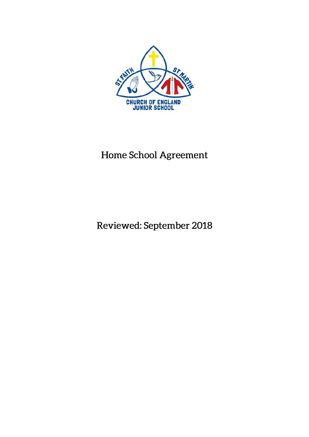

# Home School Agreement

Reviewed: September 2018